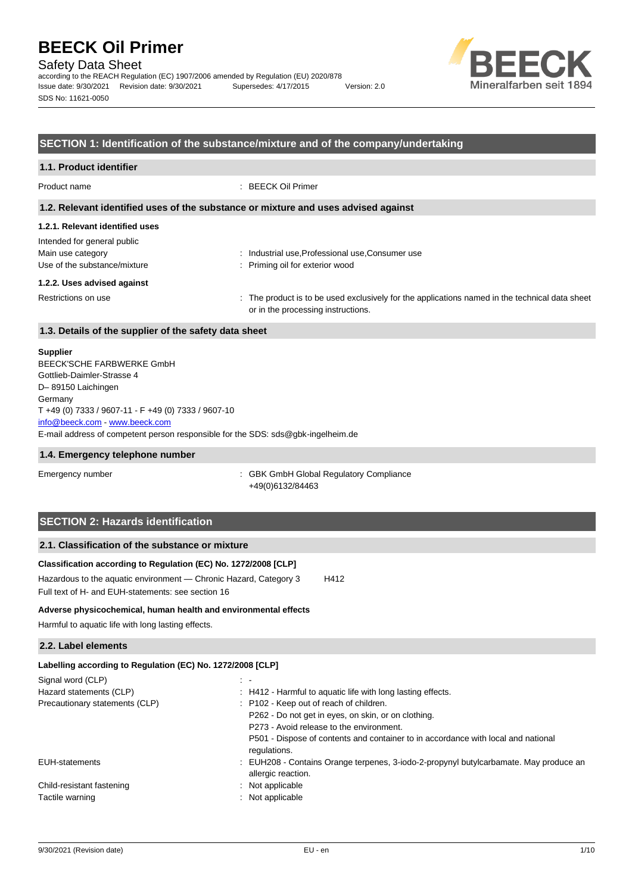Safety Data Sheet

according to the REACH Regulation (EC) 1907/2006 amended by Regulation (EU) 2020/878 Issue date: 9/30/2021 Revision date: 9/30/2021 Supersedes: 4/17/2015 Version: 2.0 SDS No: 11621-0050



### **SECTION 1: Identification of the substance/mixture and of the company/undertaking**

## **1.1. Product identifier** Product name : BEECK Oil Primer

**1.2. Relevant identified uses of the substance or mixture and uses advised against**

#### **1.2.1. Relevant identified uses**

| Intended for general public  |                                                                                                |
|------------------------------|------------------------------------------------------------------------------------------------|
| Main use category            | Industrial use, Professional use, Consumer use                                                 |
| Use of the substance/mixture | : Priming oil for exterior wood                                                                |
| 1.2.2. Uses advised against  |                                                                                                |
| Restrictions on use          | . The product is to be used exclusively for the applications named in the technical data sheet |

or in the processing instructions.

### **1.3. Details of the supplier of the safety data sheet**

#### **Supplier**

E-mail address of competent person responsible for the SDS: sds@gbk-ingelheim.de BEECK'SCHE FARBWERKE GmbH Gottlieb-Daimler-Strasse 4 D– 89150 Laichingen **Germany** T +49 (0) 7333 / 9607-11 - F +49 (0) 7333 / 9607-10 [info@beeck.com](mailto:info@beeck.com) - [www.beeck.com](http://www.beeck.com/)

#### **1.4. Emergency telephone number**

Emergency number **Emergency** number **1996** is GBK GmbH Global Regulatory Compliance +49(0)6132/84463

## **SECTION 2: Hazards identification**

### **2.1. Classification of the substance or mixture**

## **Classification according to Regulation (EC) No. 1272/2008 [CLP]**

Hazardous to the aquatic environment - Chronic Hazard, Category 3 H412 Full text of H- and EUH-statements: see section 16

#### **Adverse physicochemical, human health and environmental effects**

Harmful to aquatic life with long lasting effects.

#### **2.2. Label elements**

| Labelling according to Regulation (EC) No. 1272/2008 [CLP]                                                |
|-----------------------------------------------------------------------------------------------------------|
| $\sim$ $-$                                                                                                |
| : H412 - Harmful to aquatic life with long lasting effects.                                               |
| : P102 - Keep out of reach of children.                                                                   |
| P262 - Do not get in eyes, on skin, or on clothing.                                                       |
| P273 - Avoid release to the environment.                                                                  |
| P501 - Dispose of contents and container to in accordance with local and national<br>regulations.         |
| EUH208 - Contains Orange terpenes, 3-iodo-2-propynyl butylcarbamate. May produce an<br>allergic reaction. |
| Not applicable                                                                                            |
| Not applicable                                                                                            |
|                                                                                                           |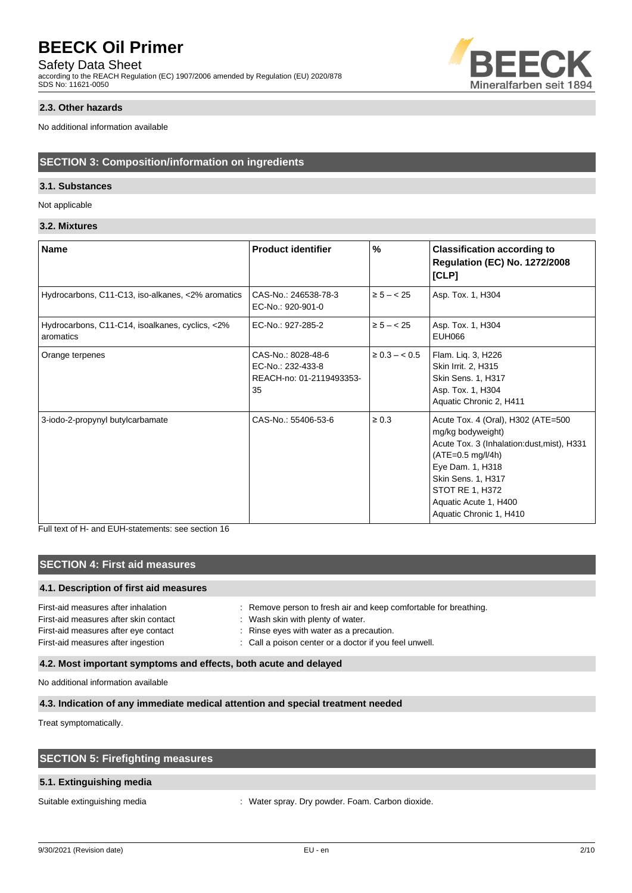## Safety Data Sheet

according to the REACH Regulation (EC) 1907/2006 amended by Regulation (EU) 2020/878 SDS No: 11621-0050



### **2.3. Other hazards**

No additional information available

### **SECTION 3: Composition/information on ingredients**

#### **3.1. Substances**

Not applicable

### **3.2. Mixtures**

| <b>Name</b>                                                  | <b>Product identifier</b>                                                 | $\%$               | <b>Classification according to</b><br><b>Regulation (EC) No. 1272/2008</b><br>[CLP]                                                                                                                                                            |
|--------------------------------------------------------------|---------------------------------------------------------------------------|--------------------|------------------------------------------------------------------------------------------------------------------------------------------------------------------------------------------------------------------------------------------------|
| Hydrocarbons, C11-C13, iso-alkanes, <2% aromatics            | CAS-No.: 246538-78-3<br>EC-No.: 920-901-0                                 | $\ge 5 - < 25$     | Asp. Tox. 1, H304                                                                                                                                                                                                                              |
| Hydrocarbons, C11-C14, isoalkanes, cyclics, <2%<br>aromatics | EC-No.: 927-285-2                                                         | $\ge 5 - < 25$     | Asp. Tox. 1, H304<br>EUH066                                                                                                                                                                                                                    |
| Orange terpenes                                              | CAS-No.: 8028-48-6<br>EC-No.: 232-433-8<br>REACH-no: 01-2119493353-<br>35 | $\geq 0.3 - < 0.5$ | Flam. Lig. 3, H226<br>Skin Irrit. 2, H315<br>Skin Sens. 1, H317<br>Asp. Tox. 1, H304<br>Aquatic Chronic 2, H411                                                                                                                                |
| 3-iodo-2-propynyl butylcarbamate                             | CAS-No.: 55406-53-6                                                       | $\geq 0.3$         | Acute Tox. 4 (Oral), H302 (ATE=500<br>mg/kg bodyweight)<br>Acute Tox. 3 (Inhalation: dust, mist), H331<br>$(ATE=0.5 mg/l/4h)$<br>Eye Dam. 1, H318<br>Skin Sens. 1, H317<br>STOT RE 1, H372<br>Aquatic Acute 1, H400<br>Aquatic Chronic 1, H410 |

Full text of H- and EUH-statements: see section 16

## **SECTION 4: First aid measures**

#### **4.1. Description of first aid measures**

| : Remove person to fresh air and keep comfortable for breathing. |
|------------------------------------------------------------------|
| : Wash skin with plenty of water.                                |
| : Rinse eyes with water as a precaution.                         |
| : Call a poison center or a doctor if you feel unwell.           |
|                                                                  |

## **4.2. Most important symptoms and effects, both acute and delayed**

No additional information available

## **4.3. Indication of any immediate medical attention and special treatment needed**

Treat symptomatically.

| <b>SECTION 5: Firefighting measures</b> |
|-----------------------------------------|
|-----------------------------------------|

### **5.1. Extinguishing media**

Suitable extinguishing media  $\cdot$  Water spray. Dry powder. Foam. Carbon dioxide.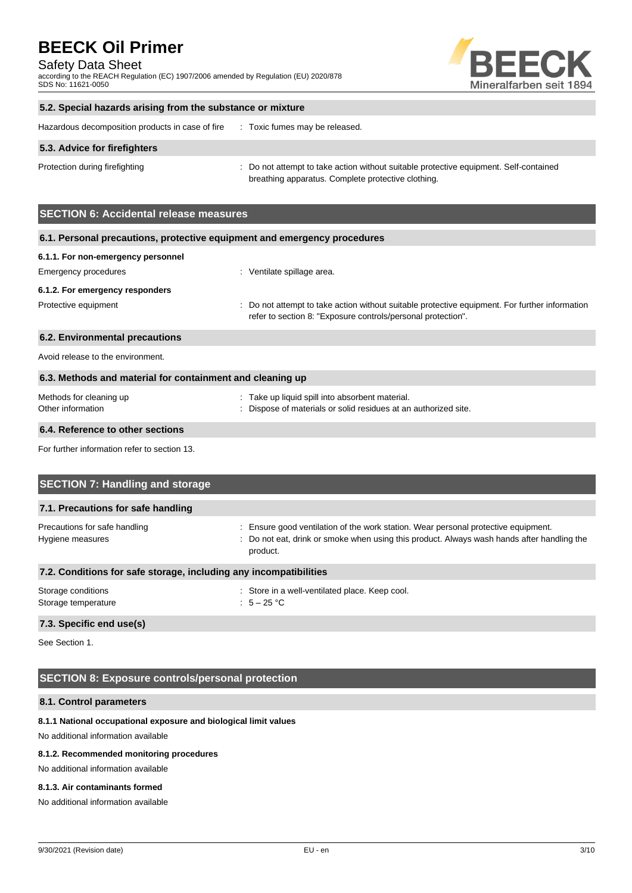Safety Data Sheet

according to the REACH Regulation (EC) 1907/2006 amended by Regulation (EU) 2020/878 SDS No: 11621-0050



### **5.2. Special hazards arising from the substance or mixture**

| Hazardous decomposition products in case of fire |  | Toxic fumes may be released. |
|--------------------------------------------------|--|------------------------------|
|                                                  |  |                              |

#### **5.3. Advice for firefighters**

Protection during firefighting **interval to a statempt to take action without suitable protective equipment. Self-contained** breathing apparatus. Complete protective clothing.

## **SECTION 6: Accidental release measures**

| 6.1. Personal precautions, protective equipment and emergency procedures |                                                                                                                                                                |  |
|--------------------------------------------------------------------------|----------------------------------------------------------------------------------------------------------------------------------------------------------------|--|
| 6.1.1. For non-emergency personnel                                       |                                                                                                                                                                |  |
| Emergency procedures                                                     | : Ventilate spillage area.                                                                                                                                     |  |
| 6.1.2. For emergency responders                                          |                                                                                                                                                                |  |
| Protective equipment                                                     | : Do not attempt to take action without suitable protective equipment. For further information<br>refer to section 8: "Exposure controls/personal protection". |  |
| 6.2. Environmental precautions                                           |                                                                                                                                                                |  |
| Avoid release to the environment.                                        |                                                                                                                                                                |  |
| 6.3. Methods and material for containment and cleaning up                |                                                                                                                                                                |  |
| Methods for cleaning up                                                  | Take up liquid spill into absorbent material.                                                                                                                  |  |

| monicao ioi oloaning ap | . Take up liquid opin like aboorborn material.                  |
|-------------------------|-----------------------------------------------------------------|
| Other information       | : Dispose of materials or solid residues at an authorized site. |
|                         |                                                                 |

## **6.4. Reference to other sections**

For further information refer to section 13.

| <b>SECTION 7: Handling and storage</b>                            |                                                                                                                                                                                              |  |  |
|-------------------------------------------------------------------|----------------------------------------------------------------------------------------------------------------------------------------------------------------------------------------------|--|--|
| 7.1. Precautions for safe handling                                |                                                                                                                                                                                              |  |  |
| Precautions for safe handling<br>Hygiene measures                 | : Ensure good ventilation of the work station. Wear personal protective equipment.<br>: Do not eat, drink or smoke when using this product. Always wash hands after handling the<br>product. |  |  |
| 7.2. Conditions for safe storage, including any incompatibilities |                                                                                                                                                                                              |  |  |
| Storage conditions<br>Storage temperature                         | : Store in a well-ventilated place. Keep cool.<br>: $5-25$ °C                                                                                                                                |  |  |

#### **7.3. Specific end use(s)**

See Section 1.

## **SECTION 8: Exposure controls/personal protection**

#### **8.1. Control parameters**

#### **8.1.1 National occupational exposure and biological limit values**

No additional information available

#### **8.1.2. Recommended monitoring procedures**

No additional information available

#### **8.1.3. Air contaminants formed**

No additional information available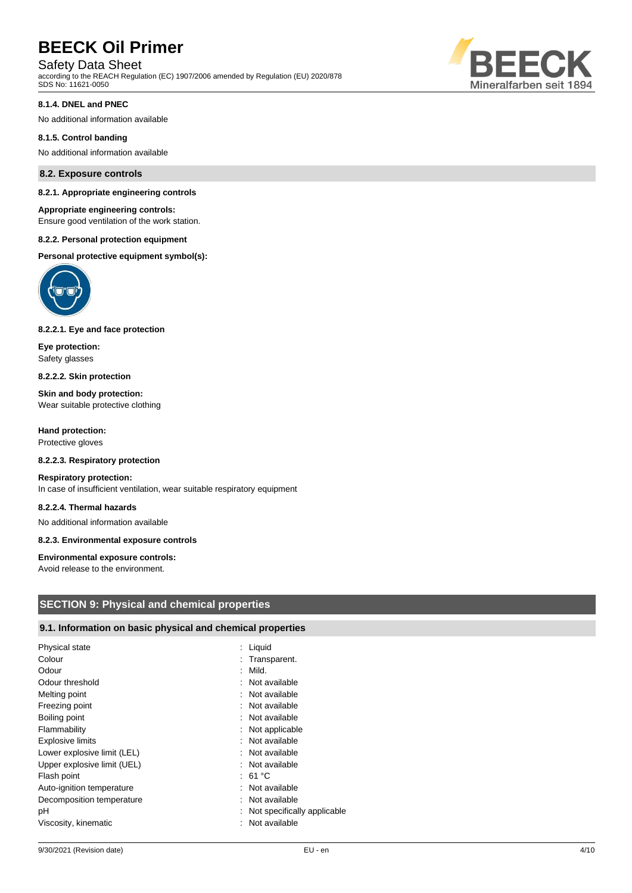## Safety Data Sheet

according to the REACH Regulation (EC) 1907/2006 amended by Regulation (EU) 2020/878 SDS No: 11621-0050



#### **8.1.4. DNEL and PNEC**

No additional information available

#### **8.1.5. Control banding**

No additional information available

#### **8.2. Exposure controls**

#### **8.2.1. Appropriate engineering controls**

#### **Appropriate engineering controls:**

Ensure good ventilation of the work station.

#### **8.2.2. Personal protection equipment**

**Personal protective equipment symbol(s):**



#### **8.2.2.1. Eye and face protection**

**Eye protection:** Safety glasses

**8.2.2.2. Skin protection**

**Skin and body protection:** Wear suitable protective clothing

**Hand protection:** Protective gloves

#### **8.2.2.3. Respiratory protection**

#### **Respiratory protection:**

In case of insufficient ventilation, wear suitable respiratory equipment

#### **8.2.2.4. Thermal hazards**

No additional information available

#### **8.2.3. Environmental exposure controls**

#### **Environmental exposure controls:**

Avoid release to the environment.

### **SECTION 9: Physical and chemical properties**

### **9.1. Information on basic physical and chemical properties**

| Physical state              | : Liquid                      |
|-----------------------------|-------------------------------|
| Colour                      | : Transparent.                |
| Odour                       | $:$ Mild.                     |
| Odour threshold             | : Not available               |
| Melting point               | : Not available               |
| Freezing point              | : Not available               |
| Boiling point               | : Not available               |
| Flammability                | : Not applicable              |
| <b>Explosive limits</b>     | : Not available               |
| Lower explosive limit (LEL) | : Not available               |
| Upper explosive limit (UEL) | : Not available               |
| Flash point                 | : 61 °C                       |
| Auto-ignition temperature   | : Not available               |
| Decomposition temperature   | : Not available               |
| рH                          | : Not specifically applicable |
| Viscosity, kinematic        | Not available                 |
|                             |                               |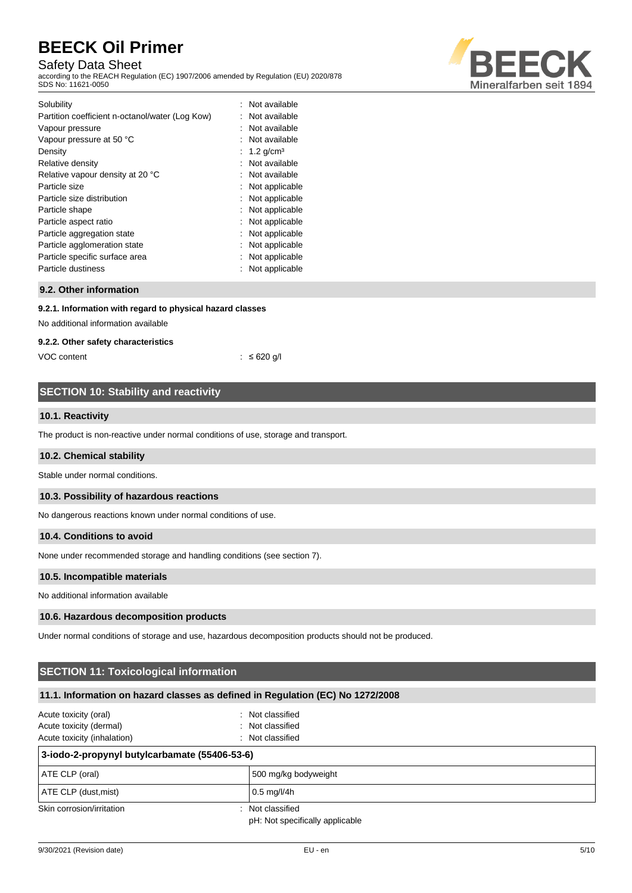## Safety Data Sheet

according to the REACH Regulation (EC) 1907/2006 amended by Regulation (EU) 2020/878 SDS No: 11621-0050



| Solubility                                      | : Not available  |
|-------------------------------------------------|------------------|
| Partition coefficient n-octanol/water (Log Kow) | : Not available  |
| Vapour pressure                                 | : Not available  |
| Vapour pressure at 50 °C                        | : Not available  |
| Density                                         | : 1.2 $q/cm^3$   |
| Relative density                                | : Not available  |
| Relative vapour density at 20 °C                | : Not available  |
| Particle size                                   | : Not applicable |
| Particle size distribution                      | : Not applicable |
| Particle shape                                  | : Not applicable |
| Particle aspect ratio                           | : Not applicable |
| Particle aggregation state                      | : Not applicable |
| Particle agglomeration state                    | : Not applicable |
| Particle specific surface area                  | : Not applicable |
| Particle dustiness                              | : Not applicable |
|                                                 |                  |

#### **9.2. Other information**

#### **9.2.1. Information with regard to physical hazard classes**

No additional information available

#### **9.2.2. Other safety characteristics**

VOC content  $\frac{1}{5}$  ≤ 620 g/l

## **SECTION 10: Stability and reactivity**

#### **10.1. Reactivity**

The product is non-reactive under normal conditions of use, storage and transport.

#### **10.2. Chemical stability**

Stable under normal conditions.

#### **10.3. Possibility of hazardous reactions**

No dangerous reactions known under normal conditions of use.

## **10.4. Conditions to avoid**

None under recommended storage and handling conditions (see section 7).

#### **10.5. Incompatible materials**

No additional information available

#### **10.6. Hazardous decomposition products**

Under normal conditions of storage and use, hazardous decomposition products should not be produced.

## **SECTION 11: Toxicological information**

## **11.1. Information on hazard classes as defined in Regulation (EC) No 1272/2008**

| Acute toxicity (oral)<br>Acute toxicity (dermal)<br>Acute toxicity (inhalation) | : Not classified<br>: Not classified<br>: Not classified |  |
|---------------------------------------------------------------------------------|----------------------------------------------------------|--|
| 3-iodo-2-propynyl butylcarbamate (55406-53-6)                                   |                                                          |  |
| ATE CLP (oral)                                                                  | 500 mg/kg bodyweight                                     |  |
| ATE CLP (dust, mist)                                                            | $0.5 \text{ mg/l/4h}$                                    |  |
| Skin corrosion/irritation                                                       | : Not classified<br>pH: Not specifically applicable      |  |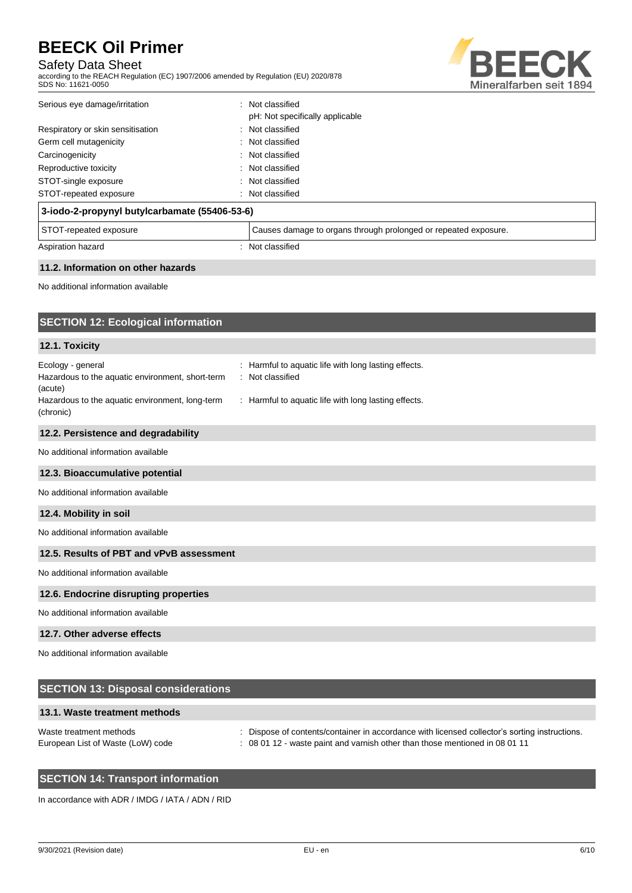## Safety Data Sheet

according to the REACH Regulation (EC) 1907/2006 amended by Regulation (EU) 2020/878 SDS No: 11621-0050



| 3 jade 3 seeminud butideesbemete (EE400 E3.0) |                                                         |  |
|-----------------------------------------------|---------------------------------------------------------|--|
| STOT-repeated exposure                        | : Not classified                                        |  |
| STOT-single exposure                          | : Not classified                                        |  |
| Reproductive toxicity                         | : Not classified                                        |  |
| Carcinogenicity                               | : Not classified                                        |  |
| Germ cell mutagenicity                        | : Not classified                                        |  |
| Respiratory or skin sensitisation             | : Not classified                                        |  |
| Serious eye damage/irritation                 | Not classified<br>÷.<br>pH: Not specifically applicable |  |
|                                               |                                                         |  |

| 3-iodo-2-propynyl butylcarbamate (55406-53-6) |                                                                 |  |
|-----------------------------------------------|-----------------------------------------------------------------|--|
| STOT-repeated exposure                        | Causes damage to organs through prolonged or repeated exposure. |  |
| Aspiration hazard                             | Not classified                                                  |  |

#### **11.2. Information on other hazards**

No additional information available

| <b>SECTION 12: Ecological information</b>                                                                                           |                                                                                                                                   |  |  |  |
|-------------------------------------------------------------------------------------------------------------------------------------|-----------------------------------------------------------------------------------------------------------------------------------|--|--|--|
| 12.1. Toxicity                                                                                                                      |                                                                                                                                   |  |  |  |
| Ecology - general<br>Hazardous to the aquatic environment, short-term<br>(acute)<br>Hazardous to the aquatic environment, long-term | Harmful to aquatic life with long lasting effects.<br>Not classified<br>÷<br>: Harmful to aquatic life with long lasting effects. |  |  |  |
| (chronic)                                                                                                                           |                                                                                                                                   |  |  |  |
| 12.2. Persistence and degradability                                                                                                 |                                                                                                                                   |  |  |  |
| No additional information available                                                                                                 |                                                                                                                                   |  |  |  |
| 12.3. Bioaccumulative potential                                                                                                     |                                                                                                                                   |  |  |  |
| No additional information available                                                                                                 |                                                                                                                                   |  |  |  |
| 12.4. Mobility in soil                                                                                                              |                                                                                                                                   |  |  |  |
| No additional information available                                                                                                 |                                                                                                                                   |  |  |  |
| 12.5. Results of PBT and vPvB assessment                                                                                            |                                                                                                                                   |  |  |  |
| No additional information available                                                                                                 |                                                                                                                                   |  |  |  |
| 12.6. Endocrine disrupting properties                                                                                               |                                                                                                                                   |  |  |  |
| No additional information available                                                                                                 |                                                                                                                                   |  |  |  |
| 12.7. Other adverse effects                                                                                                         |                                                                                                                                   |  |  |  |
| No additional information available                                                                                                 |                                                                                                                                   |  |  |  |
| <b>SECTION 13: Disposal considerations</b>                                                                                          |                                                                                                                                   |  |  |  |

## **13.1. Waste treatment methods**

| Waste treatment methods           | Dispose of contents/container in accordance with licensed collector's sorting instructions. |
|-----------------------------------|---------------------------------------------------------------------------------------------|
| European List of Waste (LoW) code | : 08 01 12 - waste paint and varnish other than those mentioned in 08 01 11                 |

## **SECTION 14: Transport information**

In accordance with ADR / IMDG / IATA / ADN / RID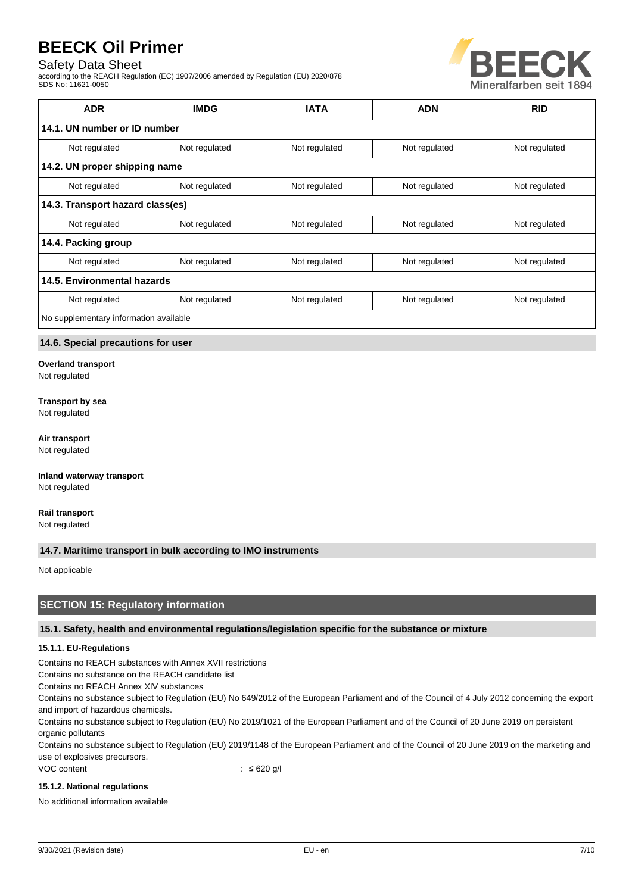## Safety Data Sheet

according to the REACH Regulation (EC) 1907/2006 amended by Regulation (EU) 2020/878 SDS No: 11621-0050



| <b>ADR</b>                             | <b>IMDG</b>   | <b>IATA</b>   | <b>ADN</b>    | <b>RID</b>    |
|----------------------------------------|---------------|---------------|---------------|---------------|
| 14.1. UN number or ID number           |               |               |               |               |
| Not regulated                          | Not regulated | Not regulated | Not regulated | Not regulated |
| 14.2. UN proper shipping name          |               |               |               |               |
| Not regulated                          | Not regulated | Not regulated | Not regulated | Not regulated |
| 14.3. Transport hazard class(es)       |               |               |               |               |
| Not regulated                          | Not regulated | Not regulated | Not regulated | Not regulated |
| 14.4. Packing group                    |               |               |               |               |
| Not regulated                          | Not regulated | Not regulated | Not regulated | Not regulated |
| 14.5. Environmental hazards            |               |               |               |               |
| Not regulated                          | Not regulated | Not regulated | Not regulated | Not regulated |
| No supplementary information available |               |               |               |               |

### **14.6. Special precautions for user**

**Overland transport**

Not regulated

#### **Transport by sea**

Not regulated

#### **Air transport**

Not regulated

**Inland waterway transport** Not regulated

**Rail transport** Not regulated

#### **14.7. Maritime transport in bulk according to IMO instruments**

Not applicable

### **SECTION 15: Regulatory information**

#### **15.1. Safety, health and environmental regulations/legislation specific for the substance or mixture**

#### **15.1.1. EU-Regulations**

Contains no REACH substances with Annex XVII restrictions

Contains no substance on the REACH candidate list

Contains no REACH Annex XIV substances

Contains no substance subject to Regulation (EU) No 649/2012 of the European Parliament and of the Council of 4 July 2012 concerning the export and import of hazardous chemicals.

Contains no substance subject to Regulation (EU) No 2019/1021 of the European Parliament and of the Council of 20 June 2019 on persistent organic pollutants

Contains no substance subject to Regulation (EU) 2019/1148 of the European Parliament and of the Council of 20 June 2019 on the marketing and use of explosives precursors.

VOC content : ≤ 620 g/l

#### **15.1.2. National regulations**

No additional information available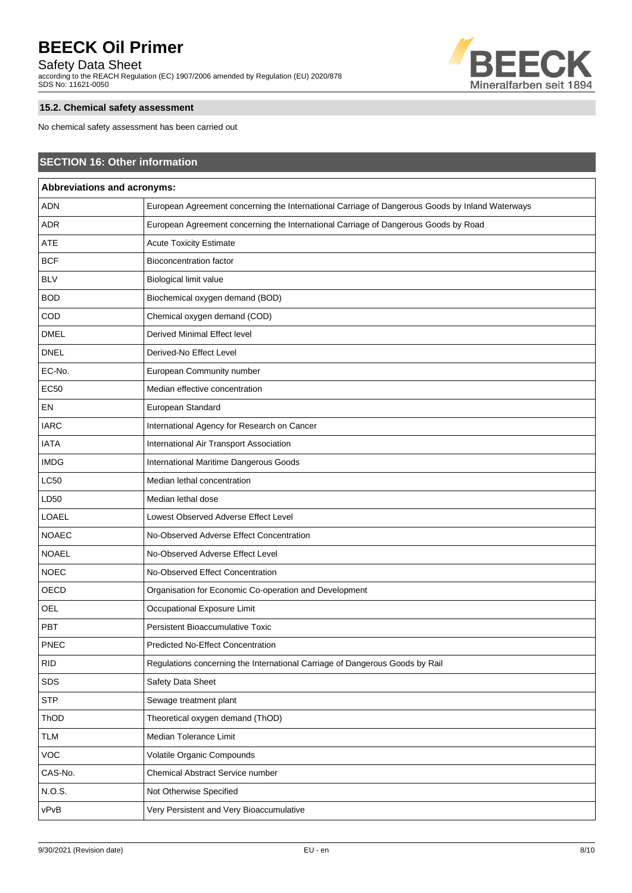## Safety Data Sheet

according to the REACH Regulation (EC) 1907/2006 amended by Regulation (EU) 2020/878 SDS No: 11621-0050



## **15.2. Chemical safety assessment**

No chemical safety assessment has been carried out

| <b>SECTION 16: Other information</b> |                                                                                                 |  |  |
|--------------------------------------|-------------------------------------------------------------------------------------------------|--|--|
| Abbreviations and acronyms:          |                                                                                                 |  |  |
| <b>ADN</b>                           | European Agreement concerning the International Carriage of Dangerous Goods by Inland Waterways |  |  |
| ADR                                  | European Agreement concerning the International Carriage of Dangerous Goods by Road             |  |  |
| ATE                                  | <b>Acute Toxicity Estimate</b>                                                                  |  |  |
| <b>BCF</b>                           | <b>Bioconcentration factor</b>                                                                  |  |  |
| <b>BLV</b>                           | Biological limit value                                                                          |  |  |
| <b>BOD</b>                           | Biochemical oxygen demand (BOD)                                                                 |  |  |
| COD                                  | Chemical oxygen demand (COD)                                                                    |  |  |
| <b>DMEL</b>                          | Derived Minimal Effect level                                                                    |  |  |
| <b>DNEL</b>                          | Derived-No Effect Level                                                                         |  |  |
| EC-No.                               | European Community number                                                                       |  |  |
| <b>EC50</b>                          | Median effective concentration                                                                  |  |  |
| EN                                   | European Standard                                                                               |  |  |
| <b>IARC</b>                          | International Agency for Research on Cancer                                                     |  |  |
| <b>IATA</b>                          | International Air Transport Association                                                         |  |  |
| <b>IMDG</b>                          | International Maritime Dangerous Goods                                                          |  |  |
| <b>LC50</b>                          | Median lethal concentration                                                                     |  |  |
| LD50                                 | Median lethal dose                                                                              |  |  |
| LOAEL                                | Lowest Observed Adverse Effect Level                                                            |  |  |
| <b>NOAEC</b>                         | No-Observed Adverse Effect Concentration                                                        |  |  |
| <b>NOAEL</b>                         | No-Observed Adverse Effect Level                                                                |  |  |
| <b>NOEC</b>                          | No-Observed Effect Concentration                                                                |  |  |
| OECD                                 | Organisation for Economic Co-operation and Development                                          |  |  |
| <b>OEL</b>                           | Occupational Exposure Limit                                                                     |  |  |
| PBT                                  | Persistent Bioaccumulative Toxic                                                                |  |  |
| <b>PNEC</b>                          | <b>Predicted No-Effect Concentration</b>                                                        |  |  |
| <b>RID</b>                           | Regulations concerning the International Carriage of Dangerous Goods by Rail                    |  |  |
| SDS                                  | Safety Data Sheet                                                                               |  |  |
| <b>STP</b>                           | Sewage treatment plant                                                                          |  |  |
| ThOD                                 | Theoretical oxygen demand (ThOD)                                                                |  |  |
| <b>TLM</b>                           | Median Tolerance Limit                                                                          |  |  |
| <b>VOC</b>                           | Volatile Organic Compounds                                                                      |  |  |
| CAS-No.                              | Chemical Abstract Service number                                                                |  |  |
| N.O.S.                               | Not Otherwise Specified                                                                         |  |  |
| vPvB                                 | Very Persistent and Very Bioaccumulative                                                        |  |  |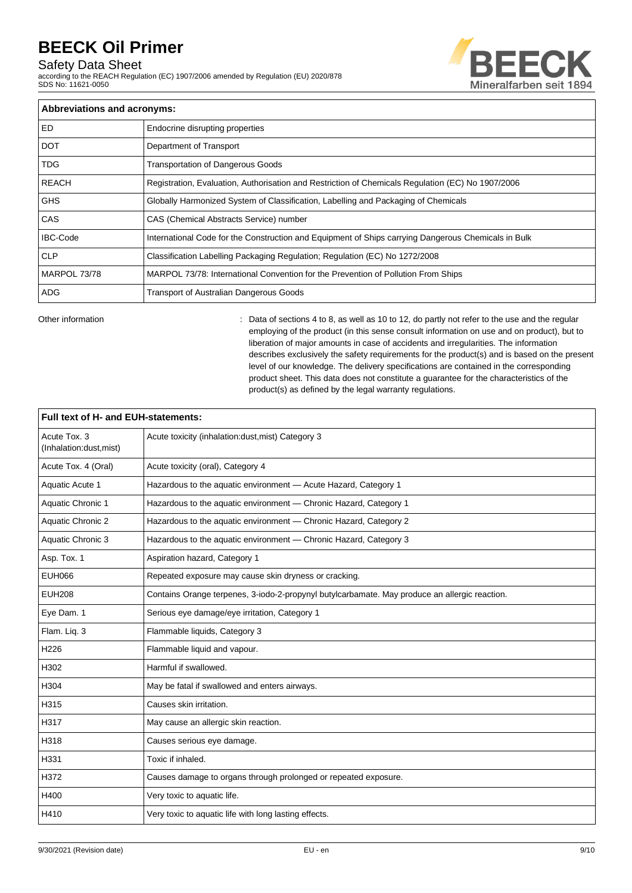## Safety Data Sheet

according to the REACH Regulation (EC) 1907/2006 amended by Regulation (EU) 2020/878 SDS No: 11621-0050



| Abbreviations and acronyms: |                                                                                                     |  |
|-----------------------------|-----------------------------------------------------------------------------------------------------|--|
| <b>ED</b>                   | Endocrine disrupting properties                                                                     |  |
| <b>DOT</b>                  | Department of Transport                                                                             |  |
| <b>TDG</b>                  | <b>Transportation of Dangerous Goods</b>                                                            |  |
| <b>REACH</b>                | Registration, Evaluation, Authorisation and Restriction of Chemicals Regulation (EC) No 1907/2006   |  |
| <b>GHS</b>                  | Globally Harmonized System of Classification, Labelling and Packaging of Chemicals                  |  |
| CAS                         | CAS (Chemical Abstracts Service) number                                                             |  |
| <b>IBC-Code</b>             | International Code for the Construction and Equipment of Ships carrying Dangerous Chemicals in Bulk |  |
| <b>CLP</b>                  | Classification Labelling Packaging Regulation; Regulation (EC) No 1272/2008                         |  |
| MARPOL 73/78                | MARPOL 73/78: International Convention for the Prevention of Pollution From Ships                   |  |
| ADG.                        | <b>Transport of Australian Dangerous Goods</b>                                                      |  |

Other information **interval of the sections**  $\sim$  2. Data of sections 4 to 8, as well as 10 to 12, do partly not refer to the use and the regular employing of the product (in this sense consult information on use and on product), but to liberation of major amounts in case of accidents and irregularities. The information describes exclusively the safety requirements for the product(s) and is based on the present level of our knowledge. The delivery specifications are contained in the corresponding product sheet. This data does not constitute a guarantee for the characteristics of the product(s) as defined by the legal warranty regulations.

| Full text of H- and EUH-statements:     |                                                                                               |  |  |
|-----------------------------------------|-----------------------------------------------------------------------------------------------|--|--|
| Acute Tox. 3<br>(Inhalation:dust, mist) | Acute toxicity (inhalation:dust, mist) Category 3                                             |  |  |
| Acute Tox. 4 (Oral)                     | Acute toxicity (oral), Category 4                                                             |  |  |
| Aquatic Acute 1                         | Hazardous to the aquatic environment - Acute Hazard, Category 1                               |  |  |
| Aquatic Chronic 1                       | Hazardous to the aquatic environment - Chronic Hazard, Category 1                             |  |  |
| Aquatic Chronic 2                       | Hazardous to the aquatic environment - Chronic Hazard, Category 2                             |  |  |
| Aquatic Chronic 3                       | Hazardous to the aquatic environment - Chronic Hazard, Category 3                             |  |  |
| Asp. Tox. 1                             | Aspiration hazard, Category 1                                                                 |  |  |
| <b>EUH066</b>                           | Repeated exposure may cause skin dryness or cracking.                                         |  |  |
| <b>EUH208</b>                           | Contains Orange terpenes, 3-iodo-2-propynyl butylcarbamate. May produce an allergic reaction. |  |  |
| Eye Dam. 1                              | Serious eye damage/eye irritation, Category 1                                                 |  |  |
| Flam. Liq. 3                            | Flammable liquids, Category 3                                                                 |  |  |
| H226                                    | Flammable liquid and vapour.                                                                  |  |  |
| H302                                    | Harmful if swallowed.                                                                         |  |  |
| H304                                    | May be fatal if swallowed and enters airways.                                                 |  |  |
| H315                                    | Causes skin irritation.                                                                       |  |  |
| H317                                    | May cause an allergic skin reaction.                                                          |  |  |
| H318                                    | Causes serious eye damage.                                                                    |  |  |
| H331                                    | Toxic if inhaled.                                                                             |  |  |
| H372                                    | Causes damage to organs through prolonged or repeated exposure.                               |  |  |
| H400                                    | Very toxic to aquatic life.                                                                   |  |  |
| H410                                    | Very toxic to aquatic life with long lasting effects.                                         |  |  |